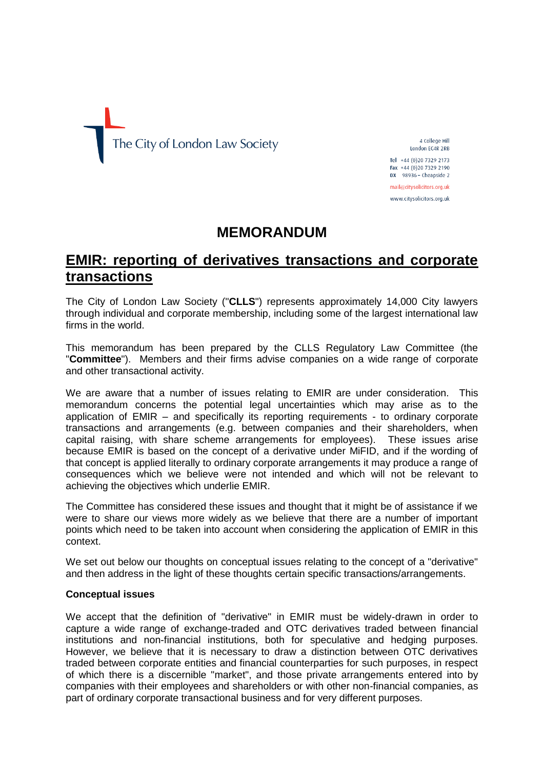

4 College Hill London EC4R 2RB Tel +44 (0)20 7329 2173

Fax +44 (0) 20 7329 2190 DX  $98936 -$  Cheapside 2 mail@citysolicitors.org.uk

www.citysolicitors.org.uk

# **MEMORANDUM**

## **EMIR: reporting of derivatives transactions and corporate transactions**

The City of London Law Society ("**CLLS**") represents approximately 14,000 City lawyers through individual and corporate membership, including some of the largest international law firms in the world.

This memorandum has been prepared by the CLLS Regulatory Law Committee (the "**Committee**"). Members and their firms advise companies on a wide range of corporate and other transactional activity.

We are aware that a number of issues relating to EMIR are under consideration. This memorandum concerns the potential legal uncertainties which may arise as to the application of EMIR – and specifically its reporting requirements - to ordinary corporate transactions and arrangements (e.g. between companies and their shareholders, when capital raising, with share scheme arrangements for employees). These issues arise because EMIR is based on the concept of a derivative under MiFID, and if the wording of that concept is applied literally to ordinary corporate arrangements it may produce a range of consequences which we believe were not intended and which will not be relevant to achieving the objectives which underlie EMIR.

The Committee has considered these issues and thought that it might be of assistance if we were to share our views more widely as we believe that there are a number of important points which need to be taken into account when considering the application of EMIR in this context.

We set out below our thoughts on conceptual issues relating to the concept of a "derivative" and then address in the light of these thoughts certain specific transactions/arrangements.

#### **Conceptual issues**

We accept that the definition of "derivative" in EMIR must be widely-drawn in order to capture a wide range of exchange-traded and OTC derivatives traded between financial institutions and non-financial institutions, both for speculative and hedging purposes. However, we believe that it is necessary to draw a distinction between OTC derivatives traded between corporate entities and financial counterparties for such purposes, in respect of which there is a discernible "market", and those private arrangements entered into by companies with their employees and shareholders or with other non-financial companies, as part of ordinary corporate transactional business and for very different purposes.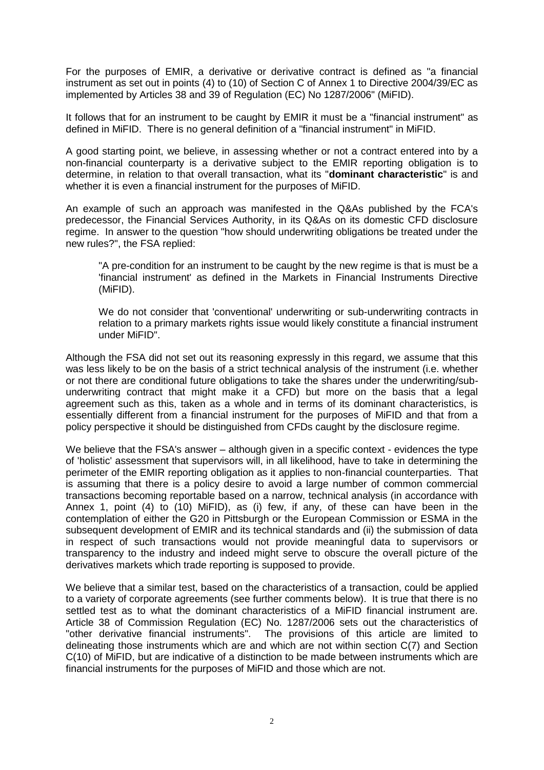For the purposes of EMIR, a derivative or derivative contract is defined as "a financial instrument as set out in points (4) to (10) of Section C of Annex 1 to Directive 2004/39/EC as implemented by Articles 38 and 39 of Regulation (EC) No 1287/2006" (MiFID).

It follows that for an instrument to be caught by EMIR it must be a "financial instrument" as defined in MiFID. There is no general definition of a "financial instrument" in MiFID.

A good starting point, we believe, in assessing whether or not a contract entered into by a non-financial counterparty is a derivative subject to the EMIR reporting obligation is to determine, in relation to that overall transaction, what its "**dominant characteristic**" is and whether it is even a financial instrument for the purposes of MiFID.

An example of such an approach was manifested in the Q&As published by the FCA's predecessor, the Financial Services Authority, in its Q&As on its domestic CFD disclosure regime. In answer to the question "how should underwriting obligations be treated under the new rules?", the FSA replied:

"A pre-condition for an instrument to be caught by the new regime is that is must be a 'financial instrument' as defined in the Markets in Financial Instruments Directive (MiFID).

We do not consider that 'conventional' underwriting or sub-underwriting contracts in relation to a primary markets rights issue would likely constitute a financial instrument under MiFID".

Although the FSA did not set out its reasoning expressly in this regard, we assume that this was less likely to be on the basis of a strict technical analysis of the instrument (i.e. whether or not there are conditional future obligations to take the shares under the underwriting/subunderwriting contract that might make it a CFD) but more on the basis that a legal agreement such as this, taken as a whole and in terms of its dominant characteristics, is essentially different from a financial instrument for the purposes of MiFID and that from a policy perspective it should be distinguished from CFDs caught by the disclosure regime.

We believe that the FSA's answer – although given in a specific context - evidences the type of 'holistic' assessment that supervisors will, in all likelihood, have to take in determining the perimeter of the EMIR reporting obligation as it applies to non-financial counterparties. That is assuming that there is a policy desire to avoid a large number of common commercial transactions becoming reportable based on a narrow, technical analysis (in accordance with Annex 1, point (4) to (10) MiFID), as (i) few, if any, of these can have been in the contemplation of either the G20 in Pittsburgh or the European Commission or ESMA in the subsequent development of EMIR and its technical standards and (ii) the submission of data in respect of such transactions would not provide meaningful data to supervisors or transparency to the industry and indeed might serve to obscure the overall picture of the derivatives markets which trade reporting is supposed to provide.

We believe that a similar test, based on the characteristics of a transaction, could be applied to a variety of corporate agreements (see further comments below). It is true that there is no settled test as to what the dominant characteristics of a MiFID financial instrument are. Article 38 of Commission Regulation (EC) No. 1287/2006 sets out the characteristics of "other derivative financial instruments". The provisions of this article are limited to delineating those instruments which are and which are not within section C(7) and Section C(10) of MiFID, but are indicative of a distinction to be made between instruments which are financial instruments for the purposes of MiFID and those which are not.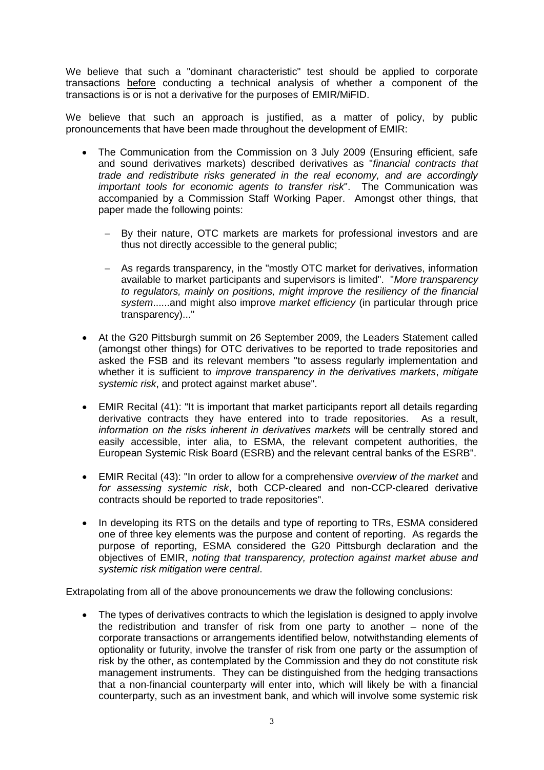We believe that such a "dominant characteristic" test should be applied to corporate transactions before conducting a technical analysis of whether a component of the transactions is or is not a derivative for the purposes of EMIR/MiFID.

We believe that such an approach is justified, as a matter of policy, by public pronouncements that have been made throughout the development of EMIR:

- The Communication from the Commission on 3 July 2009 (Ensuring efficient, safe and sound derivatives markets) described derivatives as "*financial contracts that trade and redistribute risks generated in the real economy, and are accordingly important tools for economic agents to transfer risk*". The Communication was accompanied by a Commission Staff Working Paper. Amongst other things, that paper made the following points:
	- By their nature, OTC markets are markets for professional investors and are thus not directly accessible to the general public;
	- As regards transparency, in the "mostly OTC market for derivatives, information available to market participants and supervisors is limited". "*More transparency to regulators, mainly on positions, might improve the resiliency of the financial system*......and might also improve *market efficiency* (in particular through price transparency)..."
- At the G20 Pittsburgh summit on 26 September 2009, the Leaders Statement called (amongst other things) for OTC derivatives to be reported to trade repositories and asked the FSB and its relevant members "to assess regularly implementation and whether it is sufficient to *improve transparency in the derivatives markets*, *mitigate systemic risk*, and protect against market abuse".
- EMIR Recital (41): "It is important that market participants report all details regarding derivative contracts they have entered into to trade repositories. As a result, *information on the risks inherent in derivatives markets* will be centrally stored and easily accessible, inter alia, to ESMA, the relevant competent authorities, the European Systemic Risk Board (ESRB) and the relevant central banks of the ESRB".
- EMIR Recital (43): "In order to allow for a comprehensive *overview of the market* and *for assessing systemic risk*, both CCP-cleared and non-CCP-cleared derivative contracts should be reported to trade repositories".
- In developing its RTS on the details and type of reporting to TRs, ESMA considered one of three key elements was the purpose and content of reporting. As regards the purpose of reporting, ESMA considered the G20 Pittsburgh declaration and the objectives of EMIR, *noting that transparency, protection against market abuse and systemic risk mitigation were central*.

Extrapolating from all of the above pronouncements we draw the following conclusions:

 The types of derivatives contracts to which the legislation is designed to apply involve the redistribution and transfer of risk from one party to another – none of the corporate transactions or arrangements identified below, notwithstanding elements of optionality or futurity, involve the transfer of risk from one party or the assumption of risk by the other, as contemplated by the Commission and they do not constitute risk management instruments. They can be distinguished from the hedging transactions that a non-financial counterparty will enter into, which will likely be with a financial counterparty, such as an investment bank, and which will involve some systemic risk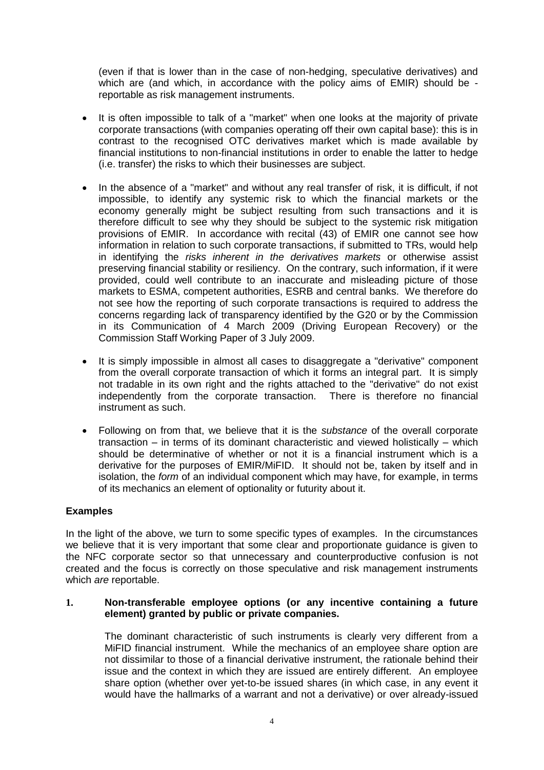(even if that is lower than in the case of non-hedging, speculative derivatives) and which are (and which, in accordance with the policy aims of EMIR) should be reportable as risk management instruments.

- It is often impossible to talk of a "market" when one looks at the majority of private corporate transactions (with companies operating off their own capital base): this is in contrast to the recognised OTC derivatives market which is made available by financial institutions to non-financial institutions in order to enable the latter to hedge (i.e. transfer) the risks to which their businesses are subject.
- In the absence of a "market" and without any real transfer of risk, it is difficult, if not impossible, to identify any systemic risk to which the financial markets or the economy generally might be subject resulting from such transactions and it is therefore difficult to see why they should be subject to the systemic risk mitigation provisions of EMIR. In accordance with recital (43) of EMIR one cannot see how information in relation to such corporate transactions, if submitted to TRs, would help in identifying the *risks inherent in the derivatives markets* or otherwise assist preserving financial stability or resiliency. On the contrary, such information, if it were provided, could well contribute to an inaccurate and misleading picture of those markets to ESMA, competent authorities, ESRB and central banks. We therefore do not see how the reporting of such corporate transactions is required to address the concerns regarding lack of transparency identified by the G20 or by the Commission in its Communication of 4 March 2009 (Driving European Recovery) or the Commission Staff Working Paper of 3 July 2009.
- It is simply impossible in almost all cases to disaggregate a "derivative" component from the overall corporate transaction of which it forms an integral part. It is simply not tradable in its own right and the rights attached to the "derivative" do not exist independently from the corporate transaction. There is therefore no financial instrument as such.
- Following on from that, we believe that it is the *substance* of the overall corporate transaction – in terms of its dominant characteristic and viewed holistically – which should be determinative of whether or not it is a financial instrument which is a derivative for the purposes of EMIR/MiFID. It should not be, taken by itself and in isolation, the *form* of an individual component which may have, for example, in terms of its mechanics an element of optionality or futurity about it.

### **Examples**

In the light of the above, we turn to some specific types of examples. In the circumstances we believe that it is very important that some clear and proportionate guidance is given to the NFC corporate sector so that unnecessary and counterproductive confusion is not created and the focus is correctly on those speculative and risk management instruments which *are* reportable.

#### **1. Non-transferable employee options (or any incentive containing a future element) granted by public or private companies.**

The dominant characteristic of such instruments is clearly very different from a MiFID financial instrument. While the mechanics of an employee share option are not dissimilar to those of a financial derivative instrument, the rationale behind their issue and the context in which they are issued are entirely different. An employee share option (whether over yet-to-be issued shares (in which case, in any event it would have the hallmarks of a warrant and not a derivative) or over already-issued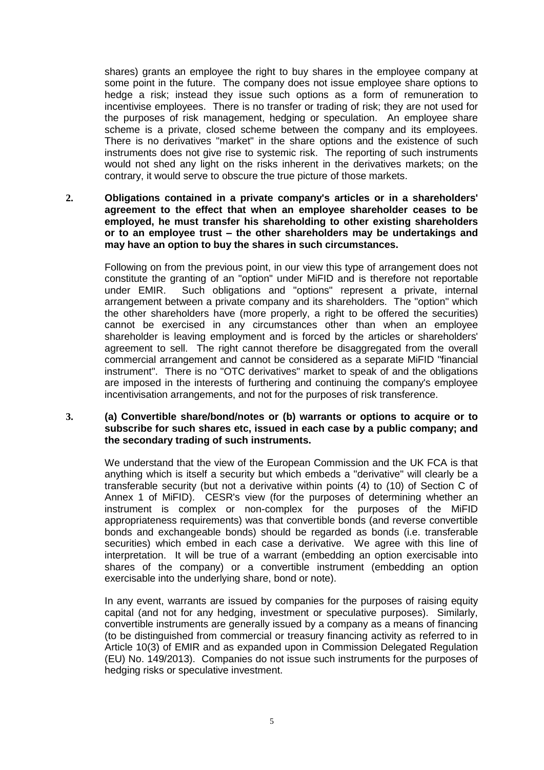shares) grants an employee the right to buy shares in the employee company at some point in the future. The company does not issue employee share options to hedge a risk; instead they issue such options as a form of remuneration to incentivise employees. There is no transfer or trading of risk; they are not used for the purposes of risk management, hedging or speculation. An employee share scheme is a private, closed scheme between the company and its employees. There is no derivatives "market" in the share options and the existence of such instruments does not give rise to systemic risk. The reporting of such instruments would not shed any light on the risks inherent in the derivatives markets; on the contrary, it would serve to obscure the true picture of those markets.

**2. Obligations contained in a private company's articles or in a shareholders' agreement to the effect that when an employee shareholder ceases to be employed, he must transfer his shareholding to other existing shareholders or to an employee trust – the other shareholders may be undertakings and may have an option to buy the shares in such circumstances.**

Following on from the previous point, in our view this type of arrangement does not constitute the granting of an "option" under MiFID and is therefore not reportable under EMIR. Such obligations and "options" represent a private, internal arrangement between a private company and its shareholders. The "option" which the other shareholders have (more properly, a right to be offered the securities) cannot be exercised in any circumstances other than when an employee shareholder is leaving employment and is forced by the articles or shareholders' agreement to sell. The right cannot therefore be disaggregated from the overall commercial arrangement and cannot be considered as a separate MiFID "financial instrument". There is no "OTC derivatives" market to speak of and the obligations are imposed in the interests of furthering and continuing the company's employee incentivisation arrangements, and not for the purposes of risk transference.

#### **3. (a) Convertible share/bond/notes or (b) warrants or options to acquire or to subscribe for such shares etc, issued in each case by a public company; and the secondary trading of such instruments.**

We understand that the view of the European Commission and the UK FCA is that anything which is itself a security but which embeds a "derivative" will clearly be a transferable security (but not a derivative within points (4) to (10) of Section C of Annex 1 of MiFID). CESR's view (for the purposes of determining whether an instrument is complex or non-complex for the purposes of the MiFID appropriateness requirements) was that convertible bonds (and reverse convertible bonds and exchangeable bonds) should be regarded as bonds (i.e. transferable securities) which embed in each case a derivative. We agree with this line of interpretation. It will be true of a warrant (embedding an option exercisable into shares of the company) or a convertible instrument (embedding an option exercisable into the underlying share, bond or note).

In any event, warrants are issued by companies for the purposes of raising equity capital (and not for any hedging, investment or speculative purposes). Similarly, convertible instruments are generally issued by a company as a means of financing (to be distinguished from commercial or treasury financing activity as referred to in Article 10(3) of EMIR and as expanded upon in Commission Delegated Regulation (EU) No. 149/2013). Companies do not issue such instruments for the purposes of hedging risks or speculative investment.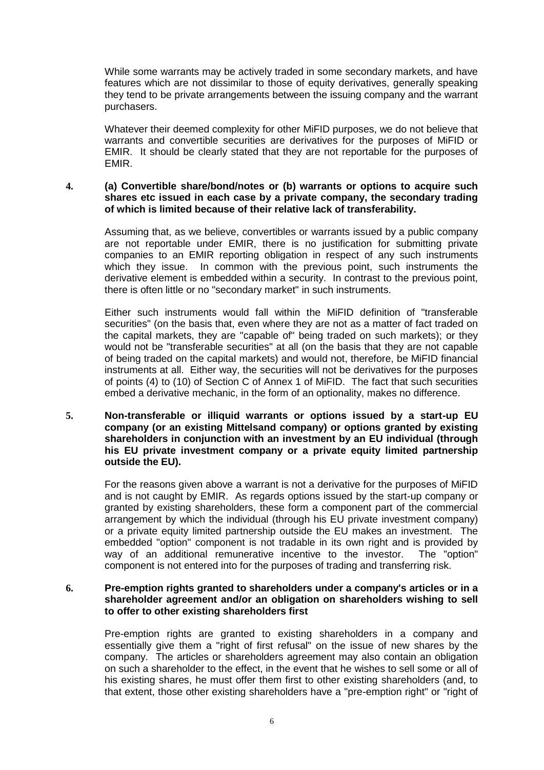While some warrants may be actively traded in some secondary markets, and have features which are not dissimilar to those of equity derivatives, generally speaking they tend to be private arrangements between the issuing company and the warrant purchasers.

Whatever their deemed complexity for other MiFID purposes, we do not believe that warrants and convertible securities are derivatives for the purposes of MiFID or EMIR. It should be clearly stated that they are not reportable for the purposes of EMIR.

#### **4. (a) Convertible share/bond/notes or (b) warrants or options to acquire such shares etc issued in each case by a private company, the secondary trading of which is limited because of their relative lack of transferability.**

Assuming that, as we believe, convertibles or warrants issued by a public company are not reportable under EMIR, there is no justification for submitting private companies to an EMIR reporting obligation in respect of any such instruments which they issue. In common with the previous point, such instruments the derivative element is embedded within a security. In contrast to the previous point, there is often little or no "secondary market" in such instruments.

Either such instruments would fall within the MiFID definition of "transferable securities" (on the basis that, even where they are not as a matter of fact traded on the capital markets, they are "capable of" being traded on such markets); or they would not be "transferable securities" at all (on the basis that they are not capable of being traded on the capital markets) and would not, therefore, be MiFID financial instruments at all. Either way, the securities will not be derivatives for the purposes of points (4) to (10) of Section C of Annex 1 of MiFID. The fact that such securities embed a derivative mechanic, in the form of an optionality, makes no difference.

**5. Non-transferable or illiquid warrants or options issued by a start-up EU company (or an existing Mittelsand company) or options granted by existing shareholders in conjunction with an investment by an EU individual (through his EU private investment company or a private equity limited partnership outside the EU).**

For the reasons given above a warrant is not a derivative for the purposes of MiFID and is not caught by EMIR. As regards options issued by the start-up company or granted by existing shareholders, these form a component part of the commercial arrangement by which the individual (through his EU private investment company) or a private equity limited partnership outside the EU makes an investment. The embedded "option" component is not tradable in its own right and is provided by way of an additional remunerative incentive to the investor. The "option" component is not entered into for the purposes of trading and transferring risk.

#### **6. Pre-emption rights granted to shareholders under a company's articles or in a shareholder agreement and/or an obligation on shareholders wishing to sell to offer to other existing shareholders first**

Pre-emption rights are granted to existing shareholders in a company and essentially give them a "right of first refusal" on the issue of new shares by the company. The articles or shareholders agreement may also contain an obligation on such a shareholder to the effect, in the event that he wishes to sell some or all of his existing shares, he must offer them first to other existing shareholders (and, to that extent, those other existing shareholders have a "pre-emption right" or "right of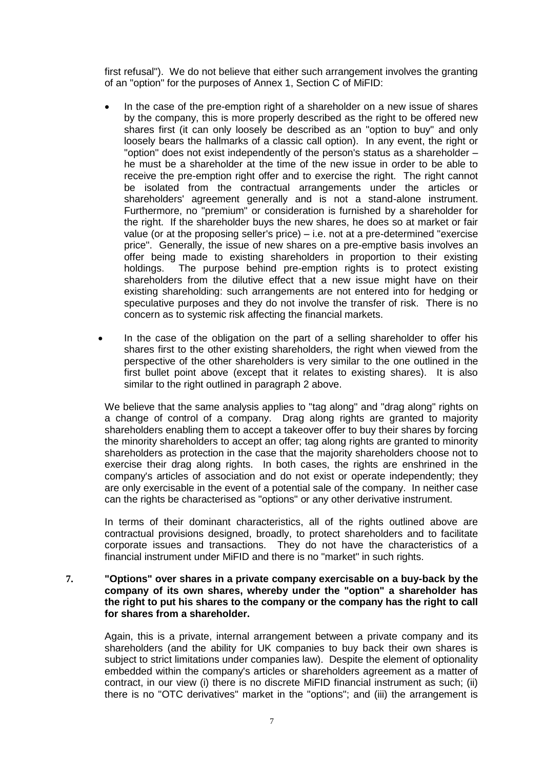first refusal"). We do not believe that either such arrangement involves the granting of an "option" for the purposes of Annex 1, Section C of MiFID:

- In the case of the pre-emption right of a shareholder on a new issue of shares by the company, this is more properly described as the right to be offered new shares first (it can only loosely be described as an "option to buy" and only loosely bears the hallmarks of a classic call option). In any event, the right or "option" does not exist independently of the person's status as a shareholder – he must be a shareholder at the time of the new issue in order to be able to receive the pre-emption right offer and to exercise the right. The right cannot be isolated from the contractual arrangements under the articles or shareholders' agreement generally and is not a stand-alone instrument. Furthermore, no "premium" or consideration is furnished by a shareholder for the right. If the shareholder buys the new shares, he does so at market or fair value (or at the proposing seller's price) – i.e. not at a pre-determined "exercise price". Generally, the issue of new shares on a pre-emptive basis involves an offer being made to existing shareholders in proportion to their existing holdings. The purpose behind pre-emption rights is to protect existing shareholders from the dilutive effect that a new issue might have on their existing shareholding: such arrangements are not entered into for hedging or speculative purposes and they do not involve the transfer of risk. There is no concern as to systemic risk affecting the financial markets.
- In the case of the obligation on the part of a selling shareholder to offer his shares first to the other existing shareholders, the right when viewed from the perspective of the other shareholders is very similar to the one outlined in the first bullet point above (except that it relates to existing shares). It is also similar to the right outlined in paragraph 2 above.

We believe that the same analysis applies to "tag along" and "drag along" rights on a change of control of a company. Drag along rights are granted to majority shareholders enabling them to accept a takeover offer to buy their shares by forcing the minority shareholders to accept an offer; tag along rights are granted to minority shareholders as protection in the case that the majority shareholders choose not to exercise their drag along rights. In both cases, the rights are enshrined in the company's articles of association and do not exist or operate independently; they are only exercisable in the event of a potential sale of the company. In neither case can the rights be characterised as "options" or any other derivative instrument.

In terms of their dominant characteristics, all of the rights outlined above are contractual provisions designed, broadly, to protect shareholders and to facilitate corporate issues and transactions. They do not have the characteristics of a financial instrument under MiFID and there is no "market" in such rights.

#### **7. "Options" over shares in a private company exercisable on a buy-back by the company of its own shares, whereby under the "option" a shareholder has the right to put his shares to the company or the company has the right to call for shares from a shareholder.**

Again, this is a private, internal arrangement between a private company and its shareholders (and the ability for UK companies to buy back their own shares is subject to strict limitations under companies law). Despite the element of optionality embedded within the company's articles or shareholders agreement as a matter of contract, in our view (i) there is no discrete MiFID financial instrument as such; (ii) there is no "OTC derivatives" market in the "options"; and (iii) the arrangement is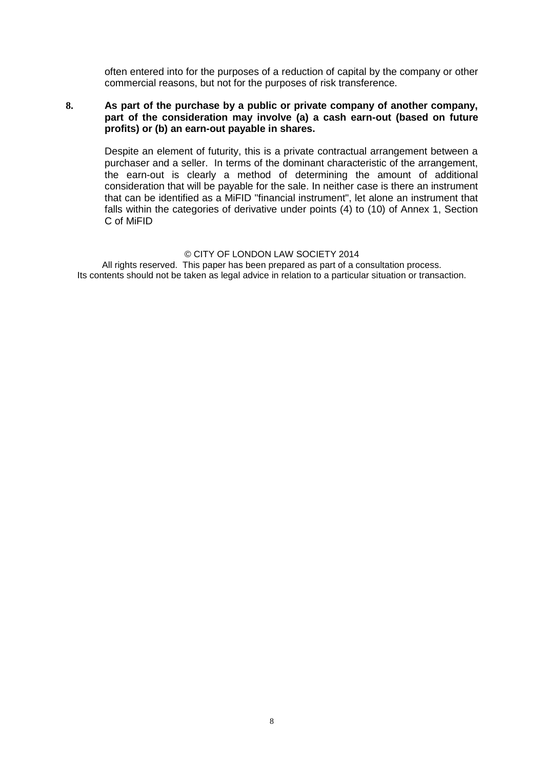often entered into for the purposes of a reduction of capital by the company or other commercial reasons, but not for the purposes of risk transference.

#### **8. As part of the purchase by a public or private company of another company, part of the consideration may involve (a) a cash earn-out (based on future profits) or (b) an earn-out payable in shares.**

Despite an element of futurity, this is a private contractual arrangement between a purchaser and a seller. In terms of the dominant characteristic of the arrangement, the earn-out is clearly a method of determining the amount of additional consideration that will be payable for the sale. In neither case is there an instrument that can be identified as a MiFID "financial instrument", let alone an instrument that falls within the categories of derivative under points (4) to (10) of Annex 1, Section C of MiFID

#### © CITY OF LONDON LAW SOCIETY 2014

All rights reserved. This paper has been prepared as part of a consultation process. Its contents should not be taken as legal advice in relation to a particular situation or transaction.